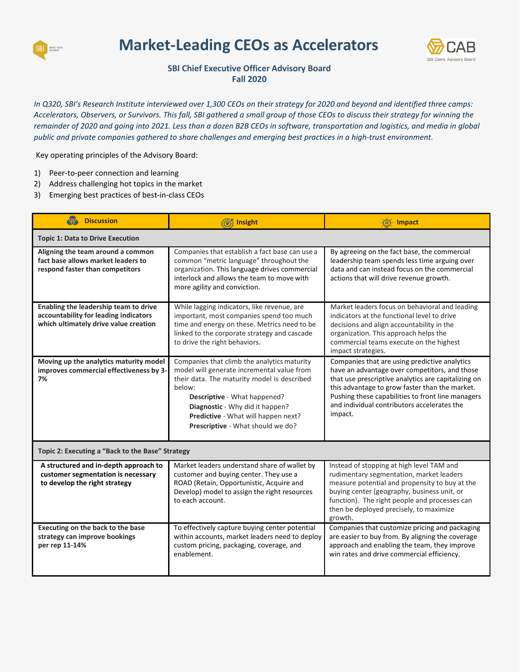

## **Market-Leading CEOs as Accelerators**



## **SBI Chief Executive Officer Advisory Board Fall 2020**

*In Q320, SBI's Research Institute interviewed over 1,300 CEOs on their strategy for 2020 and beyond and identified three camps: Accelerators, Observers, or Survivors. This fall, SBI gathered a small group of those CEOs to discuss their strategy for winning the remainder of 2020 and going into 2021. Less than a dozen B2B CEOs in software, transportation and logistics, and media in global public and private companies gathered to share challenges and emerging best practices in a high-trust environment.*

Key operating principles of the Advisory Board:

- 1) Peer-to-peer connection and learning
- 2) Address challenging hot topics in the market
- 3) Emerging best practices of best-in-class CEOs

| <b>Discussion</b>                                                                                                       | Insight                                                                                                                                                                                                                                                                                           | - Impact                                                                                                                                                                                                                                                                                                               |  |
|-------------------------------------------------------------------------------------------------------------------------|---------------------------------------------------------------------------------------------------------------------------------------------------------------------------------------------------------------------------------------------------------------------------------------------------|------------------------------------------------------------------------------------------------------------------------------------------------------------------------------------------------------------------------------------------------------------------------------------------------------------------------|--|
| <b>Topic 1: Data to Drive Execution</b>                                                                                 |                                                                                                                                                                                                                                                                                                   |                                                                                                                                                                                                                                                                                                                        |  |
| Aligning the team around a common<br>fact base allows market leaders to<br>respond faster than competitors              | Companies that establish a fact base can use a<br>common "metric language" throughout the<br>organization. This language drives commercial<br>interlock and allows the team to move with<br>more agility and conviction.                                                                          | By agreeing on the fact base, the commercial<br>leadership team spends less time arguing over<br>data and can instead focus on the commercial<br>actions that will drive revenue growth.                                                                                                                               |  |
| Enabling the leadership team to drive<br>accountability for leading indicators<br>which ultimately drive value creation | While lagging indicators, like revenue, are<br>important, most companies spend too much<br>time and energy on these. Metrics need to be<br>linked to the corporate strategy and cascade<br>to drive the right behaviors.                                                                          | Market leaders focus on behavioral and leading<br>indicators at the functional level to drive<br>decisions and align accountability in the<br>organization. This approach helps the<br>commercial teams execute on the highest<br>impact strategies.                                                                   |  |
| Moving up the analytics maturity model<br>improves commercial effectiveness by 3-<br>7%                                 | Companies that climb the analytics maturity<br>model will generate incremental value from<br>their data. The maturity model is described<br>below:<br>Descriptive - What happened?<br>Diagnostic - Why did it happen?<br>Predictive - What will happen next?<br>Prescriptive - What should we do? | Companies that are using predictive analytics<br>have an advantage over competitors, and those<br>that use prescriptive analytics are capitalizing on<br>this advantage to grow faster than the market.<br>Pushing these capabilities to front line managers<br>and individual contributors accelerates the<br>impact. |  |
| Topic 2: Executing a "Back to the Base" Strategy                                                                        |                                                                                                                                                                                                                                                                                                   |                                                                                                                                                                                                                                                                                                                        |  |
| A structured and in-depth approach to<br>customer segmentation is necessary<br>to develop the right strategy            | Market leaders understand share of wallet by<br>customer and buying center. They use a<br>ROAD (Retain, Opportunistic, Acquire and<br>Develop) model to assign the right resources<br>to each account.                                                                                            | Instead of stopping at high level TAM and<br>rudimentary segmentation, market leaders<br>measure potential and propensity to buy at the<br>buying center (geography, business unit, or<br>function). The right people and processes can<br>then be deployed precisely, to maximize<br>growth.                          |  |
| Executing on the back to the base<br>strategy can improve bookings<br>per rep 11-14%                                    | To effectively capture buying center potential<br>within accounts, market leaders need to deploy<br>custom pricing, packaging, coverage, and<br>enablement.                                                                                                                                       | Companies that customize pricing and packaging<br>are easier to buy from. By aligning the coverage<br>approach and enabling the team, they improve<br>win rates and drive commercial efficiency.                                                                                                                       |  |